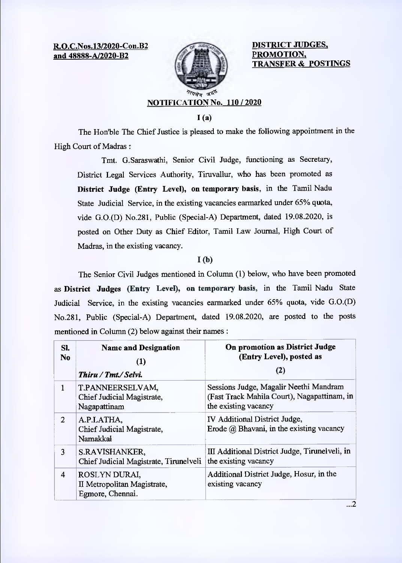**R.O.C.Nos.13/2020-Con.B2 and 48888-A/2020-B2** 



**DISTRICT JUDGES, PROMOTION, TRANSFER & POSTINGS** 

 $\ldots$ 2

# **NOTIFICATION No. 110 / 2020**

**1(a)** 

The Hon'ble The Chief Justice is pleased to make the following appointment in the High Court of Madras:

Tmt. G.Saraswathi, Senior Civil Judge, functioning as Secretary, District Legal Services Authority, Timvallur, who has been promoted as **District Judge (Entry Level), on temporary basis,** in the Tamil Nadu State Judicial Service, in the existing vacancies earmarked under 65% quota, vide G.0.(D) No.28I, Public (Special-A) Department, dated 19.08.2020, is posted on Other Duty as Chief Editor, Tamil Law Journal, High Court of Madras, in the existing vacancy.

### **I (b)**

The Senior Civil Judges mentioned in Column (1) below, who have been promoted as **District Judges (Entry Level), on temporary basis,** in the Tamil Nadu State Judicial Service, in the existing vacancies earmarked under 65% quota, vide G.0.(D) No.281, Public (Special-A) Department, dated 19.08.2020, are posted to the posts mentioned in Column (2) below against their names:

| SI.<br>N <sub>0</sub> | <b>Name and Designation</b><br>(1)<br>Thiru / Tmt./ Selvi.       | On promotion as District Judge<br>(Entry Level), posted as<br>(2)                                             |
|-----------------------|------------------------------------------------------------------|---------------------------------------------------------------------------------------------------------------|
|                       | T.PANNEERSELVAM,<br>Chief Judicial Magistrate,<br>Nagapattinam   | Sessions Judge, Magalir Neethi Mandram<br>(Fast Track Mahila Court), Nagapattinam, in<br>the existing vacancy |
| $\mathcal{L}$         | A.P.LATHA,<br>Chief Judicial Magistrate,<br>Namakkal             | <b>IV Additional District Judge,</b><br>Erode $(a)$ Bhavani, in the existing vacancy                          |
| 3                     | S.RAVISHANKER,<br>Chief Judicial Magistrate, Tirunelveli         | III Additional District Judge, Tirunelveli, in<br>the existing vacancy                                        |
| 4                     | ROSLYN DURAI,<br>II Metropolitan Magistrate,<br>Egmore, Chennai. | Additional District Judge, Hosur, in the<br>existing vacancy                                                  |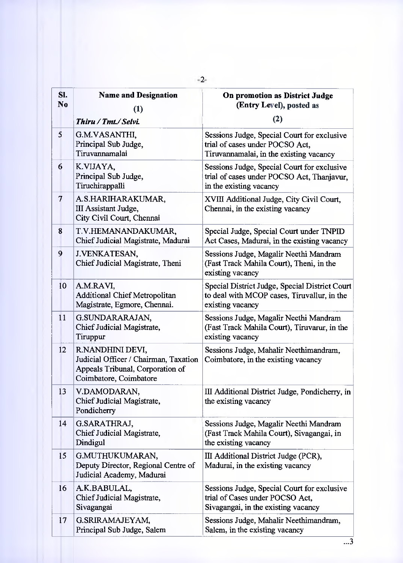| SI.<br>N <sub>0</sub>   | <b>Name and Designation</b>                                                                                             | On promotion as District Judge<br>(Entry Level), posted as                                                                |
|-------------------------|-------------------------------------------------------------------------------------------------------------------------|---------------------------------------------------------------------------------------------------------------------------|
|                         | (1)<br>Thiru / Tmt./ Selvi.                                                                                             | (2)                                                                                                                       |
| $\overline{\mathbf{5}}$ | G.M.VASANTHI,<br>Principal Sub Judge,<br>Tiruvannamalai                                                                 | Sessions Judge, Special Court for exclusive<br>trial of cases under POCSO Act,<br>Tiruvannamalai, in the existing vacancy |
| 6                       | K.VIJAYA,<br>Principal Sub Judge,<br>Tiruchirappalli                                                                    | Sessions Judge, Special Court for exclusive<br>trial of cases under POCSO Act, Thanjavur,<br>in the existing vacancy      |
| 7                       | A.S.HARIHARAKUMAR,<br><b>III Assistant Judge,</b><br>City Civil Court, Chennai                                          | XVIII Additional Judge, City Civil Court,<br>Chennai, in the existing vacancy                                             |
| 8                       | T.V.HEMANANDAKUMAR,<br>Chief Judicial Magistrate, Madurai                                                               | Special Judge, Special Court under TNPID<br>Act Cases, Madurai, in the existing vacancy                                   |
| 9                       | J.VENKATESAN,<br>Chief Judicial Magistrate, Theni                                                                       | Sessions Judge, Magalir Neethi Mandram<br>(Fast Track Mahila Court), Theni, in the<br>existing vacancy                    |
| 10                      | A.M.RAVI,<br><b>Additional Chief Metropolitan</b><br>Magistrate, Egmore, Chennai.                                       | Special District Judge, Special District Court<br>to deal with MCOP cases, Tiruvallur, in the<br>existing vacancy         |
| 11                      | G.SUNDARARAJAN,<br>Chief Judicial Magistrate,<br>Tiruppur                                                               | Sessions Judge, Magalir Neethi Mandram<br>(Fast Track Mahila Court), Tiruvarur, in the<br>existing vacancy                |
| 12                      | R.NANDHINI DEVI,<br>Judicial Officer / Chairman, Taxation<br>Appeals Tribunal, Corporation of<br>Coimbatore, Coimbatore | Sessions Judge, Mahalir Neethimandram,<br>Coimbatore, in the existing vacancy                                             |
| 13                      | V.DAMODARAN,<br>Chief Judicial Magistrate,<br>Pondicherry                                                               | III Additional District Judge, Pondicherry, in<br>the existing vacancy                                                    |
| 14                      | G.SARATHRAJ,<br>Chief Judicial Magistrate,<br>Dindigul                                                                  | Sessions Judge, Magalir Neethi Mandram<br>(Fast Track Mahila Court), Sivagangai, in<br>the existing vacancy               |
| 15                      | G.MUTHUKUMARAN,<br>Deputy Director, Regional Centre of<br>Judicial Academy, Madurai                                     | III Additional District Judge (PCR),<br>Madurai, in the existing vacancy                                                  |
| 16                      | A.K.BABULAL,<br>Chief Judicial Magistrate,<br>Sivagangai                                                                | Sessions Judge, Special Court for exclusive<br>trial of Cases under POCSO Act,<br>Sivagangai, in the existing vacancy     |
| 17                      | G.SRIRAMAJEYAM,<br>Principal Sub Judge, Salem                                                                           | Sessions Judge, Mahalir Neethimandram,<br>Salem, in the existing vacancy                                                  |

-2-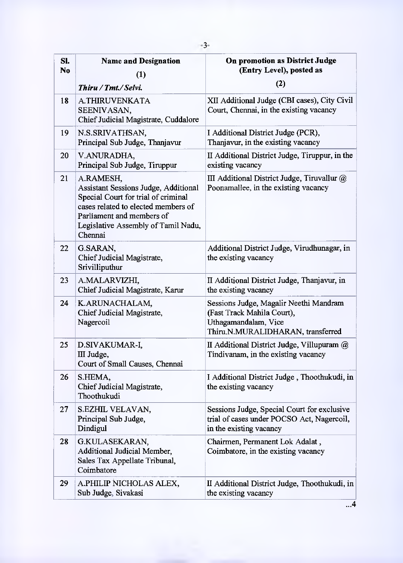| SI.<br>N <sub>0</sub> | <b>Name and Designation</b>                                                                                                                                                                                    | On promotion as District Judge<br>(Entry Level), posted as                                                                        |
|-----------------------|----------------------------------------------------------------------------------------------------------------------------------------------------------------------------------------------------------------|-----------------------------------------------------------------------------------------------------------------------------------|
|                       | (1)<br>Thiru / Tmt./ Selvi.                                                                                                                                                                                    | (2)                                                                                                                               |
| 18                    | A.THIRUVENKATA<br>SEENIVASAN,<br>Chief Judicial Magistrate, Cuddalore                                                                                                                                          | XII Additional Judge (CBI cases), City Civil<br>Court, Chennai, in the existing vacancy                                           |
| 19                    | N.S.SRIVATHSAN,<br>Principal Sub Judge, Thanjavur                                                                                                                                                              | I Additional District Judge (PCR),<br>Thanjavur, in the existing vacancy                                                          |
| 20                    | V.ANURADHA,<br>Principal Sub Judge, Tiruppur                                                                                                                                                                   | II Additional District Judge, Tiruppur, in the<br>existing vacancy                                                                |
| 21                    | A.RAMESH,<br>Assistant Sessions Judge, Additional<br>Special Court for trial of criminal<br>cases related to elected members of<br>Parliament and members of<br>Legislative Assembly of Tamil Nadu,<br>Chennai | III Additional District Judge, Tiruvallur $@$<br>Poonamallee, in the existing vacancy                                             |
| 22                    | G.SARAN,<br>Chief Judicial Magistrate,<br>Srivilliputhur                                                                                                                                                       | Additional District Judge, Virudhunagar, in<br>the existing vacancy                                                               |
| 23                    | A.MALARVIZHI,<br>Chief Judicial Magistrate, Karur                                                                                                                                                              | II Additional District Judge, Thanjavur, in<br>the existing vacancy                                                               |
| 24                    | K.ARUNACHALAM,<br>Chief Judicial Magistrate,<br>Nagercoil                                                                                                                                                      | Sessions Judge, Magalir Neethi Mandram<br>(Fast Track Mahila Court),<br>Uthagamandalam, Vice<br>Thiru.N.MURALIDHARAN, transferred |
| 25                    | D.SIVAKUMAR-I,<br>III Judge,<br>Court of Small Causes, Chennai                                                                                                                                                 | II Additional District Judge, Villupuram @<br>Tindivanam, in the existing vacancy                                                 |
| 26                    | S.HEMA,<br>Chief Judicial Magistrate,<br>Thoothukudi                                                                                                                                                           | I Additional District Judge, Thoothukudi, in<br>the existing vacancy                                                              |
| 27                    | S.EZHIL VELAVAN,<br>Principal Sub Judge,<br>Dindigul                                                                                                                                                           | Sessions Judge, Special Court for exclusive<br>trial of cases under POCSO Act, Nagercoil,<br>in the existing vacancy              |
| 28                    | G.KULASEKARAN,<br>Additional Judicial Member,<br>Sales Tax Appellate Tribunal,<br>Coimbatore                                                                                                                   | Chairmen, Permanent Lok Adalat,<br>Coimbatore, in the existing vacancy                                                            |
| 29                    | A.PHILIP NICHOLAS ALEX,<br>Sub Judge, Sivakasi                                                                                                                                                                 | II Additional District Judge, Thoothukudi, in<br>the existing vacancy                                                             |

 $\overline{...4}$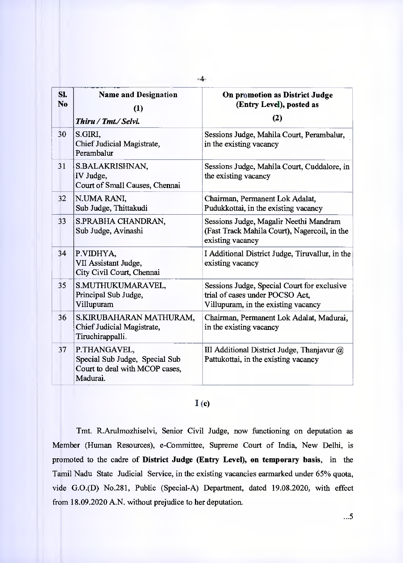| SI.<br>N <sub>0</sub> | <b>Name and Designation</b><br>(1)<br>Thiru / Tmt./ Selvi.                                   | On promotion as District Judge<br>(Entry Level), posted as<br>(2)                                                     |
|-----------------------|----------------------------------------------------------------------------------------------|-----------------------------------------------------------------------------------------------------------------------|
| 30                    | S.GIRI.<br>Chief Judicial Magistrate,<br>Perambalur                                          | Sessions Judge, Mahila Court, Perambalur,<br>in the existing vacancy                                                  |
| 31                    | S.BALAKRISHNAN,<br>IV Judge,<br>Court of Small Causes, Chennai                               | Sessions Judge, Mahila Court, Cuddalore, in<br>the existing vacancy                                                   |
| 32 <sup>2</sup>       | N.UMA RANI,<br>Sub Judge, Thittakudi                                                         | Chairman, Permanent Lok Adalat,<br>Pudukkottai, in the existing vacancy                                               |
| 33                    | S.PRABHA CHANDRAN,<br>Sub Judge, Avinashi                                                    | Sessions Judge, Magalir Neethi Mandram<br>(Fast Track Mahila Court), Nagercoil, in the<br>existing vacancy            |
| 34                    | P.VIDHYA,<br>VII Assistant Judge,<br>City Civil Court, Chennai                               | I Additional District Judge, Tiruvallur, in the<br>existing vacancy                                                   |
| 35                    | S.MUTHUKUMARAVEL,<br>Principal Sub Judge,<br>Villupuram                                      | Sessions Judge, Special Court for exclusive<br>trial of cases under POCSO Act.<br>Villupuram, in the existing vacancy |
| 36                    | S.KIRUBAHARAN MATHURAM,<br>Chief Judicial Magistrate,<br>Tiruchirappalli.                    | Chairman, Permanent Lok Adalat, Madurai,<br>in the existing vacancy                                                   |
| 37                    | P.THANGAVEL,<br>Special Sub Judge, Special Sub<br>Court to deal with MCOP cases,<br>Madurai. | III Additional District Judge, Thanjavur @<br>Pattukottai, in the existing vacancy                                    |

## $I(c)$

Tmt. R.Arulmozhiselvi, Senior Civil Judge, now functioning on deputation as Member (Human Resources), e-Committee, Supreme Court of India, New Delhi, is promoted to the cadre of **District Judge (Entry Level), on temporary basis,** in the Tamil Nadu State Judicial Service, in the existing vacancies earmarked under 65% quota, vide G.0.(D) No.281, Public (Special-A) Department, dated 19.08.2020, with effect from 18.09.2020 A.N. without prejudice to her deputation.

**-4-**